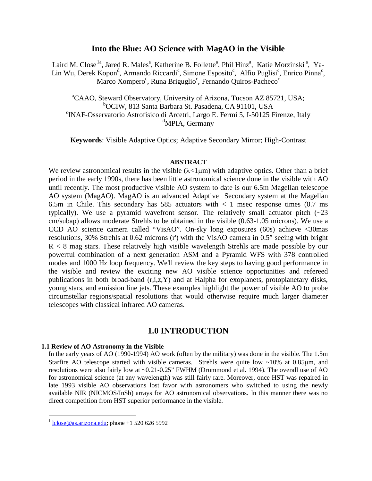## **Into the Blue: AO Science with MagAO in the Visible**

Laird M. Close<sup>[1a](#page-0-0)</sup>, Jared R. Males<sup>a</sup>, Katherine B. Follette<sup>a</sup>, Phil Hinz<sup>a</sup>, Katie Morzinski<sup>a</sup>, Ya-Lin Wu, Derek Kopon<sup>d</sup>, Armando Riccardi<sup>c</sup>, Simone Esposito<sup>c</sup>, Alfio Puglisi<sup>c</sup>, Enrico Pinna<sup>c</sup>, Marco Xompero<sup>c</sup>, Runa Briguglio<sup>c</sup>, Fernando Quiros-Pacheco<sup>c</sup>

<sup>a</sup>CAAO, Steward Observatory, University of Arizona, Tucson AZ 85721, USA; <sup>b</sup>OCIW, 813 Santa Barbara St. Pasadena, CA 91101, USA <sup>c</sup>INAF-Osservatorio Astrofisico di Arcetri, Largo E. Fermi 5, I-50125 Firenze, Italy <sup>d</sup>MPIA, Germany

**Keywords**: Visible Adaptive Optics; Adaptive Secondary Mirror; High-Contrast

#### **ABSTRACT**

We review astronomical results in the visible  $(\lambda < 1 \mu m)$  with adaptive optics. Other than a brief period in the early 1990s, there has been little astronomical science done in the visible with AO until recently. The most productive visible AO system to date is our 6.5m Magellan telescope AO system (MagAO). MagAO is an advanced Adaptive Secondary system at the Magellan 6.5m in Chile. This secondary has 585 actuators with  $\lt$  1 msec response times (0.7 ms) typically). We use a pyramid wavefront sensor. The relatively small actuator pitch  $(\sim 23$ cm/subap) allows moderate Strehls to be obtained in the visible (0.63-1.05 microns). We use a CCD AO science camera called "VisAO". On-sky long exposures (60s) achieve <30mas resolutions, 30% Strehls at 0.62 microns (r') with the VisAO camera in 0.5" seeing with bright  $R < 8$  mag stars. These relatively high visible wavelength Strehls are made possible by our powerful combination of a next generation ASM and a Pyramid WFS with 378 controlled modes and 1000 Hz loop frequency. We'll review the key steps to having good performance in the visible and review the exciting new AO visible science opportunities and refereed publications in both broad-band (r,i,z,Y) and at Halpha for exoplanets, protoplanetary disks, young stars, and emission line jets. These examples highlight the power of visible AO to probe circumstellar regions/spatial resolutions that would otherwise require much larger diameter telescopes with classical infrared AO cameras.

## **1.0 INTRODUCTION**

#### **1.1 Review of AO Astronomy in the Visible**

In the early years of AO (1990-1994) AO work (often by the military) was done in the visible. The 1.5m Starfire AO telescope started with visible cameras. Strehls were quite low ~10% at 0.85µm, and resolutions were also fairly low at ~0.21-0.25" FWHM (Drummond et al. 1994). The overall use of AO for astronomical science (at any wavelength) was still fairly rare. Moreover, once HST was repaired in late 1993 visible AO observations lost favor with astronomers who switched to using the newly available NIR (NICMOS/InSb) arrays for AO astronomical observations. In this manner there was no direct competition from HST superior performance in the visible.

<span id="page-0-0"></span> $\frac{1}{1}$  [lclose@as.arizona.edu;](mailto:lclose@as.arizona.edu) phone +1 520 626 5992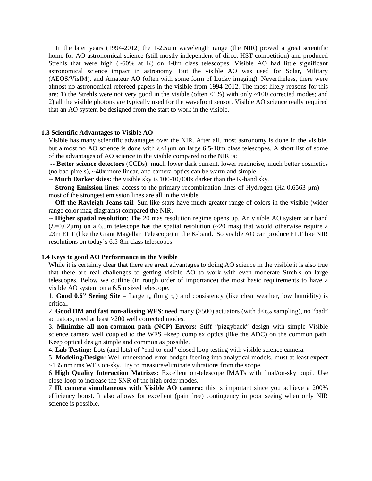In the later years (1994-2012) the 1-2.5µm wavelength range (the NIR) proved a great scientific home for AO astronomical science (still mostly independent of direct HST competition) and produced Strehls that were high (~60% at K) on 4-8m class telescopes. Visible AO had little significant astronomical science impact in astronomy. But the visible AO was used for Solar, Military (AEOS/VisIM), and Amateur AO (often with some form of Lucky imaging). Nevertheless, there were almost no astronomical refereed papers in the visible from 1994-2012. The most likely reasons for this are: 1) the Strehls were not very good in the visible (often  $\langle 1\% \rangle$ ) with only  $\sim 100$  corrected modes; and 2) all the visible photons are typically used for the wavefront sensor. Visible AO science really required that an AO system be designed from the start to work in the visible.

#### **1.3 Scientific Advantages to Visible AO**

Visible has many scientific advantages over the NIR. After all, most astronomy is done in the visible, but almost no AO science is done with  $\lambda < 1 \mu$ m on large 6.5-10m class telescopes. A short list of some of the advantages of AO science in the visible compared to the NIR is:

-- **Better science detectors** (CCDs): much lower dark current, lower readnoise, much better cosmetics (no bad pixels), ~40x more linear, and camera optics can be warm and simple.

-- **Much Darker skies:** the visible sky is 100-10,000x darker than the K-band sky.

-- **Strong Emission lines**: access to the primary recombination lines of Hydrogen (Ha 0.6563 µm) -- most of the strongest emission lines are all in the visible

-- **Off the Rayleigh Jeans tail**: Sun-like stars have much greater range of colors in the visible (wider range color mag diagrams) compared the NIR.

-- **Higher spatial resolution**: The 20 mas resolution regime opens up. An visible AO system at r band  $(\lambda=0.62\mu m)$  on a 6.5m telescope has the spatial resolution (~20 mas) that would otherwise require a 23m ELT (like the Giant Magellan Telescope) in the K-band. So visible AO can produce ELT like NIR resolutions on today's 6.5-8m class telescopes.

#### **1.4 Keys to good AO Performance in the Visible**

While it is certainly clear that there are great advantages to doing AO science in the visible it is also true that there are real challenges to getting visible AO to work with even moderate Strehls on large telescopes. Below we outline (in rough order of importance) the most basic requirements to have a visible AO system on a 6.5m sized telescope.

1. **Good 0.6" Seeing Site** – Large  $r_0$  (long  $\tau_0$ ) and consistency (like clear weather, low humidity) is critical.

2. **Good DM and fast non-aliasing WFS**: need many  $(>500)$  actuators (with  $d < r_{0/2}$  sampling), no "bad" actuators, need at least >200 well corrected modes.

3. **Minimize all non-common path (NCP) Errors:** Stiff "piggyback" design with simple Visible science camera well coupled to the WFS –keep complex optics (like the ADC) on the common path. Keep optical design simple and common as possible.

4. **Lab Testing:** Lots (and lots) of "end-to-end" closed loop testing with visible science camera.

5. **Modeling/Design:** Well understood error budget feeding into analytical models, must at least expect ~135 nm rms WFE on-sky. Try to measure/eliminate vibrations from the scope.

6 **High Quality Interaction Matrixes:** Excellent on-telescope IMATs with final/on-sky pupil. Use close-loop to increase the SNR of the high order modes.

7 **IR camera simultaneous with Visible AO camera:** this is important since you achieve a 200% efficiency boost. It also allows for excellent (pain free) contingency in poor seeing when only NIR science is possible.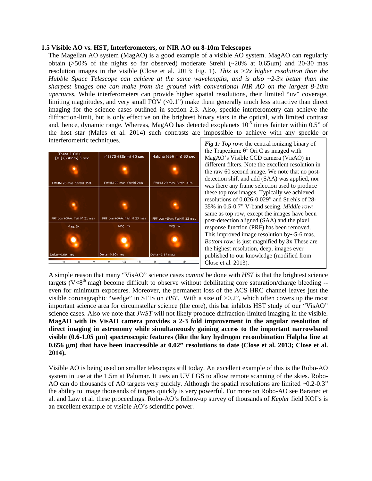#### **1.5 Visible AO vs. HST, Interferometers, or NIR AO on 8-10m Telescopes**

The Magellan AO system (MagAO) is a good example of a visible AO system. MagAO can regularly obtain ( $>50\%$  of the nights so far observed) moderate Strehl ( $\sim$ 20% at 0.65 $\mu$ m) and 20-30 mas resolution images in the visible (Close et al. 2013; Fig. 1). *This is >2x higher resolution than the Hubble Space Telescope can achieve at the same wavelengths*, *and is also ~2-3x better than the sharpest images one can make from the ground with conventional NIR AO on the largest 8-10m apertures.* While interferometers can provide higher spatial resolutions, their limited "uv" coverage, limiting magnitudes, and very small FOV  $(<0.1$ ") make them generally much less attractive than direct imaging for the science cases outlined in section 2.3. Also, speckle interferometry can achieve the diffraction-limit, but is only effective on the brightest binary stars in the optical, with limited contrast and, hence, dynamic range. Whereas, MagAO has detected exoplanets  $10^{-5}$  times fainter within 0.5" of the host star (Males et al. 2014) such contrasts are impossible to achieve with any speckle or interferometric techniques.



*Fig 1: Top row*: the central ionizing binary of the Trapezium:  $θ$ <sup>1</sup> Ori C as imaged with MagAO's Visible CCD camera (VisAO) in different filters. Note the excellent resolution in the raw 60 second image. We note that no postdetection shift and add (SAA) was applied, nor was there any frame selection used to produce these top row images. Typically we achieved resolutions of 0.026-0.029" and Strehls of 28- 35% in 0.5-0.7" V-band seeing. *Middle row:* same as top row, except the images have been post-detection aligned (SAA) and the pixel response function (PRF) has been removed. This improved image resolution by∼5-6 mas. *Bottom row:* is just magnified by 3x These are the highest resolution, deep, images ever published to our knowledge (modified from Close et al. 2013).

A simple reason that many "VisAO" science cases *cannot* be done with *HST* is that the brightest science targets (V $\langle 8^{th}$  mag) become difficult to observe without debilitating core saturation/charge bleeding -even for minimum exposures. Moreover, the permanent loss of the ACS HRC channel leaves just the visible coronagraphic "wedge" in STIS on *HST*. With a size of >0.2", which often covers up the most important science area for circumstellar science (the core), this bar inhibits HST study of our "VisAO" science cases. Also we note that *JWST* will not likely produce diffraction-limited imaging in the visible. **MagAO with its VisAO camera provides a 2-3 fold improvement in the angular resolution of direct imaging in astronomy while simultaneously gaining access to the important narrowband visible (0.6-1.05** µ**m) spectroscopic features (like the key hydrogen recombination Halpha line at 0.656** µ**m) that have been inaccessible at 0.02" resolutions to date (Close et al. 2013; Close et al. 2014).** 

Visible AO is being used on smaller telescopes still today. An excellent example of this is the Robo-AO system in use at the 1.5m at Palomar. It uses an UV LGS to allow remote scanning of the skies. Robo-AO can do thousands of AO targets very quickly. Although the spatial resolutions are limited ~0.2-0.3" the ability to image thousands of targets quickly is very powerful. For more on Robo-AO see Baranec et al. and Law et al. these proceedings. Robo-AO's follow-up survey of thousands of *Kepler* field KOI's is an excellent example of visible AO's scientific power.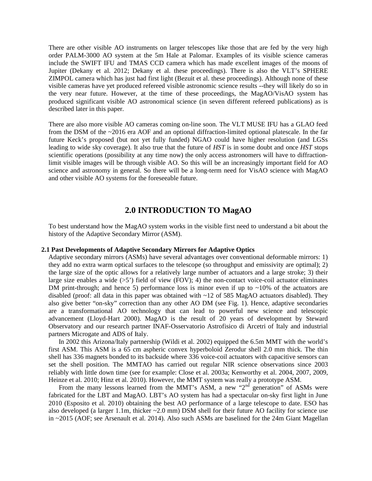There are other visible AO instruments on larger telescopes like those that are fed by the very high order PALM-3000 AO system at the 5m Hale at Palomar. Examples of its visible science cameras include the SWIFT IFU and TMAS CCD camera which has made excellent images of the moons of Jupiter (Dekany et al. 2012; Dekany et al. these proceedings). There is also the VLT's SPHERE ZIMPOL camera which has just had first light (Bezuit et al. these proceedings). Although none of these visible cameras have yet produced refereed visible astronomic science results --they will likely do so in the very near future. However, at the time of these proceedings, the MagAO/VisAO system has produced significant visible AO astronomical science (in seven different refereed publications) as is described later in this paper.

There are also more visible AO cameras coming on-line soon. The VLT MUSE IFU has a GLAO feed from the DSM of the ~2016 era AOF and an optional diffraction-limited optional platescale. In the far future Keck's proposed (but not yet fully funded) NGAO could have higher resolution (and LGSs leading to wide sky coverage). It also true that the future of *HST* is in some doubt and once *HST* stops scientific operations (possibility at any time now) the only access astronomers will have to diffractionlimit visible images will be through visible AO. So this will be an increasingly important field for AO science and astronomy in general. So there will be a long-term need for VisAO science with MagAO and other visible AO systems for the foreseeable future.

# **2.0 INTRODUCTION TO MagAO**

To best understand how the MagAO system works in the visible first need to understand a bit about the history of the Adaptive Secondary Mirror (ASM).

#### **2.1 Past Developments of Adaptive Secondary Mirrors for Adaptive Optics**

Adaptive secondary mirrors (ASMs) have several advantages over conventional deformable mirrors: 1) they add no extra warm optical surfaces to the telescope (so throughput and emissivity are optimal); 2) the large size of the optic allows for a relatively large number of actuators and a large stroke; 3) their large size enables a wide  $(55')$  field of view (FOV); 4) the non-contact voice-coil actuator eliminates DM print-through; and hence 5) performance loss is minor even if up to  $\sim$ 10% of the actuators are disabled (proof: all data in this paper was obtained with ~12 of 585 MagAO actuators disabled). They also give better "on-sky" correction than any other AO DM (see Fig. 1). Hence, adaptive secondaries are a transformational AO technology that can lead to powerful new science and telescopic advancement (Lloyd-Hart 2000). MagAO is the result of 20 years of development by Steward Observatory and our research partner INAF-Osservatorio Astrofisico di Arcetri of Italy and industrial partners Microgate and ADS of Italy.

 In 2002 this Arizona/Italy partnership (Wildi et al. 2002) equipped the 6.5m MMT with the world's first ASM. This ASM is a 65 cm aspheric convex hyperboloid Zerodur shell 2.0 mm thick. The thin shell has 336 magnets bonded to its backside where 336 voice-coil actuators with capacitive sensors can set the shell position. The MMTAO has carried out regular NIR science observations since 2003 reliably with little down time (see for example: Close et al. 2003a; Kenworthy et al. 2004, 2007, 2009, Heinze et al. 2010; Hinz et al. 2010). However, the MMT system was really a prototype ASM.

From the many lessons learned from the MMT's ASM, a new " $2<sup>nd</sup>$  generation" of ASMs were fabricated for the LBT and MagAO. LBT's AO system has had a spectacular on-sky first light in June 2010 (Esposito et al. 2010) obtaining the best AO performance of a large telescope to date. ESO has also developed (a larger 1.1m, thicker ~2.0 mm) DSM shell for their future AO facility for science use in ~2015 (AOF; see Arsenault et al. 2014). Also such ASMs are baselined for the 24m Giant Magellan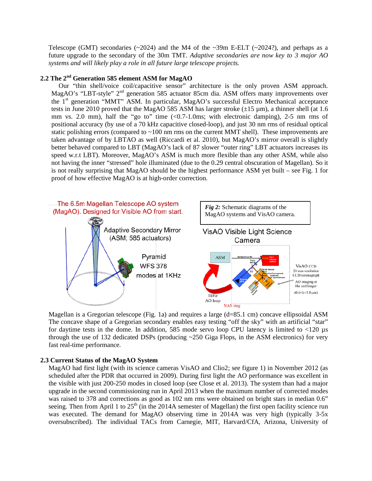Telescope (GMT) secondaries ( $\sim$ 2024) and the M4 of the  $\sim$ 39m E-ELT ( $\sim$ 2024?), and perhaps as a future upgrade to the secondary of the 30m TMT. *Adaptive secondaries are now key to 3 major AO systems and will likely play a role in all future large telescope projects.* 

## **2.2 The 2nd Generation 585 element ASM for MagAO**

Our "thin shell/voice coil/capacitive sensor" architecture is the only proven ASM approach. MagAO's "LBT-style" 2<sup>nd</sup> generation 585 actuator 85cm dia. ASM offers many improvements over the 1<sup>st</sup> generation "MMT" ASM. In particular, MagAO's successful Electro Mechanical acceptance tests in June 2010 proved that the MagAO 585 ASM has larger stroke  $(\pm 15 \text{ µm})$ , a thinner shell (at 1.6) mm vs. 2.0 mm), half the "go to" time  $\langle 0.7-1.0 \text{ms} \rangle$ ; with electronic damping), 2-5 nm rms of positional accuracy (by use of a 70 kHz capacitive closed-loop), and just 30 nm rms of residual optical static polishing errors (compared to  $\sim$  100 nm rms on the current MMT shell). These improvements are taken advantage of by LBTAO as well (Riccardi et al. 2010), but MagAO's mirror overall is slightly better behaved compared to LBT (MagAO's lack of 87 slower "outer ring" LBT actuators increases its speed w.r.t LBT). Moreover, MagAO's ASM is much more flexible than any other ASM, while also not having the inner "stressed" hole illuminated (due to the 0.29 central obscuration of Magellan). So it is not really surprising that MagAO should be the highest performance ASM yet built – see Fig. 1 for proof of how effective MagAO is at high-order correction.



Magellan is a Gregorian telescope (Fig. 1a) and requires a large  $(d=85.1 \text{ cm})$  concave ellipsoidal ASM The concave shape of a Gregorian secondary enables easy testing "off the sky" with an artificial "star" for daytime tests in the dome. In addition, 585 mode servo loop CPU latency is limited to  $\langle 120 \mu s$ through the use of 132 dedicated DSPs (producing ~250 Giga Flops, in the ASM electronics) for very fast real-time performance.

#### **2.3 Current Status of the MagAO System**

MagAO had first light (with its science cameras VisAO and Clio2; see figure 1) in November 2012 (as scheduled after the PDR that occurred in 2009). During first light the AO performance was excellent in the visible with just 200-250 modes in closed loop (see Close et al. 2013). The system than had a major upgrade in the second commissioning run in April 2013 when the maximum number of corrected modes was raised to 378 and corrections as good as 102 nm rms were obtained on bright stars in median 0.6" seeing. Then from April 1 to  $25<sup>th</sup>$  (in the 2014A semester of Magellan) the first open facility science run was executed. The demand for MagAO observing time in 2014A was very high (typically 3-5x oversubscribed). The individual TACs from Carnegie, MIT, Harvard/CfA, Arizona, University of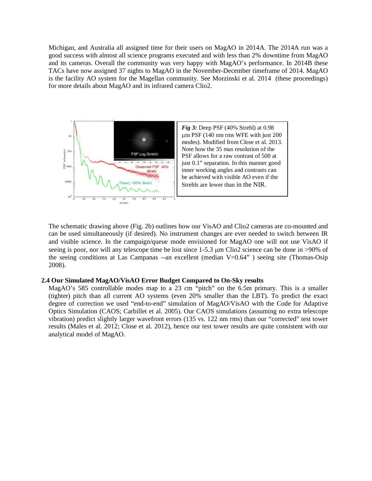Michigan, and Australia all assigned time for their users on MagAO in 2014A. The 2014A run was a good success with almost all science programs executed and with less than 2% downtime from MagAO and its cameras. Overall the community was very happy with MagAO's performance. In 2014B these TACs have now assigned 37 nights to MagAO in the November-December timeframe of 2014. MagAO is the facility AO system for the Magellan community. See Morzinski et al. 2014 (these proceedings) for more details about MagAO and its infrared camera Clio2.



The schematic drawing above (Fig. 2b) outlines how our VisAO and Clio2 cameras are co-mounted and can be used simultaneously (if desired). No instrument changes are ever needed to switch between IR and visible science. In the campaign/queue mode envisioned for MagAO one will not use VisAO if seeing is poor, nor will any telescope time be lost since 1-5.3 µm Clio2 science can be done in >90% of the seeing conditions at Las Campanas --an excellent (median V=0.64" ) seeing site (Thomas-Osip 2008).

#### **2.4 Our Simulated MagAO/VisAO Error Budget Compared to On-Sky results**

MagAO's 585 controllable modes map to a 23 cm "pitch" on the 6.5m primary. This is a smaller (tighter) pitch than all current AO systems (even 20% smaller than the LBT). To predict the exact degree of correction we used "end-to-end" simulation of MagAO/VisAO with the Code for Adaptive Optics Simulation (CAOS; Carbillet et al. 2005). Our CAOS simulations (assuming no extra telescope vibration) predict slightly larger wavefront errors (135 vs. 122 nm rms) than our "corrected" test tower results (Males et al. 2012; Close et al. 2012), hence our test tower results are quite consistent with our analytical model of MagAO.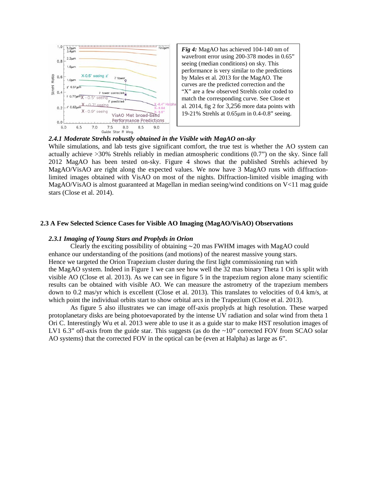

*Fig 4:* MagAO has achieved 104-140 nm of wavefront error using 200-378 modes in 0.65" seeing (median conditions) on sky. This performance is very similar to the predictions by Males et al. 2013 for the MagAO. The curves are the predicted correction and the "X" are a few observed Strehls color coded to match the corresponding curve. See Close et al. 2014, fig 2 for 3,256 more data points with 19-21% Strehls at 0.65µm in 0.4-0.8" seeing.

#### *2.4.1 Moderate Strehls robustly obtained in the Visible with MagAO on-sky*

While simulations, and lab tests give significant comfort, the true test is whether the AO system can actually achieve >30% Strehls reliably in median atmospheric conditions (0.7") on the sky. Since fall 2012 MagAO has been tested on-sky. Figure 4 shows that the published Strehls achieved by MagAO/VisAO are right along the expected values. We now have 3 MagAO runs with diffractionlimited images obtained with VisAO on most of the nights. Diffraction-limited visible imaging with MagAO/VisAO is almost guaranteed at Magellan in median seeing/wind conditions on V<11 mag guide stars (Close et al. 2014).

## **2.3 A Few Selected Science Cases for Visible AO Imaging (MagAO/VisAO) Observations**

#### *2.3.1 Imaging of Young Stars and Proplyds in Orion*

Clearly the exciting possibility of obtaining ∼20 mas FWHM images with MagAO could enhance our understanding of the positions (and motions) of the nearest massive young stars. Hence we targeted the Orion Trapezium cluster during the first light commissioning run with the MagAO system. Indeed in Figure 1 we can see how well the 32 mas binary Theta 1 Ori is split with visible AO (Close et al. 2013). As we can see in figure 5 in the trapezium region alone many scientific results can be obtained with visible AO. We can measure the astrometry of the trapezium members down to 0.2 mas/yr which is excellent (Close et al. 2013). This translates to velocities of 0.4 km/s, at which point the individual orbits start to show orbital arcs in the Trapezium (Close et al. 2013).

 As figure 5 also illustrates we can image off-axis proplyds at high resolution. These warped protoplanetary disks are being photoevaporated by the intense UV radiation and solar wind from theta 1 Ori C. Interestingly Wu et al. 2013 were able to use it as a guide star to make HST resolution images of LV1 6.3" off-axis from the guide star. This suggests (as do the ~10" corrected FOV from SCAO solar AO systems) that the corrected FOV in the optical can be (even at Halpha) as large as 6".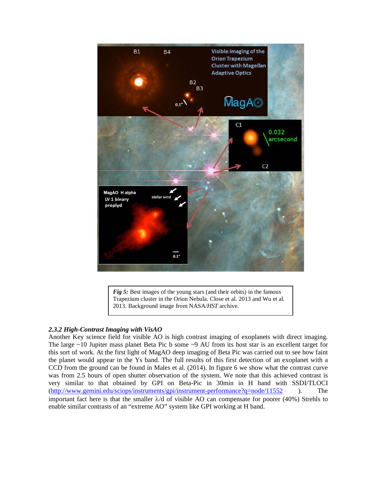

*Fig 5:* Best images of the young stars (and their orbits) in the famous Trapezium cluster in the Orion Nebula. Close et al. 2013 and Wu et al. 2013. Background image from NASA/*HST* archive.

## *2.3.2 High-Contrast Imaging with VisAO*

Another Key science field for visible AO is high contrast imaging of exoplanets with direct imaging. The large ~10 Jupiter mass planet Beta Pic b some ~9 AU from its host star is an excellent target for this sort of work. At the first light of MagAO deep imaging of Beta Pic was carried out to see how faint the planet would appear in the Ys band. The full results of this first detection of an exoplanet with a CCD from the ground can be found in Males et al. (2014). In figure 6 we show what the contrast curve was from 2.5 hours of open shutter observation of the system. We note that this achieved contrast is very similar to that obtained by GPI on Beta-Pic in 30min in H band with SSDI/TLOCI [\(http://www.gemini.edu/sciops/instruments/gpi/instrument-performance?q=node/11552](http://www.gemini.edu/sciops/instruments/gpi/instrument-performance?q=node/11552) ). The important fact here is that the smaller  $\lambda/d$  of visible AO can compensate for poorer (40%) Strehls to enable similar contrasts of an "extreme AO" system like GPI working at H band.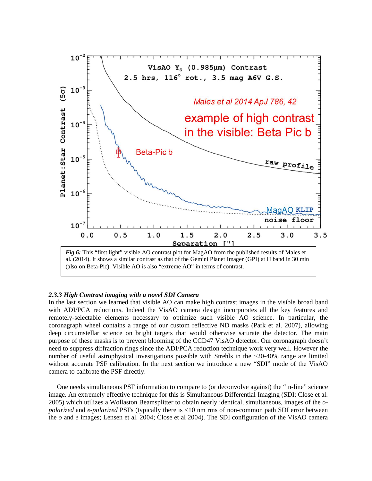

#### *2.3.3 High Contrast imaging with a novel SDI Camera*

In the last section we learned that visible AO can make high contrast images in the visible broad band with ADI/PCA reductions. Indeed the VisAO camera design incorporates all the key features and remotely-selectable elements necessary to optimize such visible AO science. In particular, the coronagraph wheel contains a range of our custom reflective ND masks (Park et al. 2007), allowing deep circumstellar science on bright targets that would otherwise saturate the detector. The main purpose of these masks is to prevent blooming of the CCD47 VisAO detector. Our coronagraph doesn't need to suppress diffraction rings since the ADI/PCA reduction technique work very well. However the number of useful astrophysical investigations possible with Strehls in the ~20-40% range are limited without accurate PSF calibration. In the next section we introduce a new "SDI" mode of the VisAO camera to calibrate the PSF directly.

 One needs simultaneous PSF information to compare to (or deconvolve against) the "in-line" science image. An extremely effective technique for this is Simultaneous Differential Imaging (SDI; Close et al. 2005) which utilizes a Wollaston Beamsplitter to obtain nearly identical, simultaneous, images of the *opolarized* and *e-polarized* PSFs (typically there is <10 nm rms of non-common path SDI error between the *o* and *e* images; Lensen et al. 2004; Close et al 2004). The SDI configuration of the VisAO camera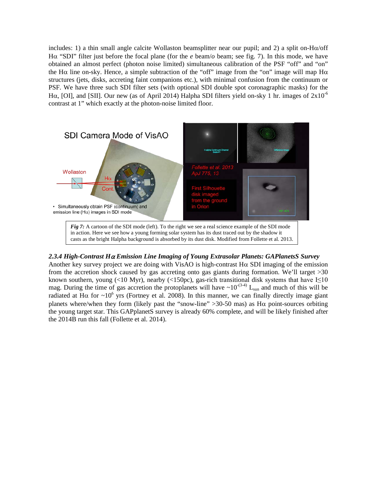includes: 1) a thin small angle calcite Wollaston beamsplitter near our pupil; and 2) a split on-Hα/off Hα "SDI" filter just before the focal plane (for the *e* beam/*o* beam; see fig. 7). In this mode, we have obtained an almost perfect (photon noise limited) simultaneous calibration of the PSF "off" and "on" the H $\alpha$  line on-sky. Hence, a simple subtraction of the "off" image from the "on" image will map H $\alpha$ structures (jets, disks, accreting faint companions etc.), with minimal confusion from the continuum or PSF. We have three such SDI filter sets (with optional SDI double spot coronagraphic masks) for the H $\alpha$ , [OI], and [SII]. Our new (as of April 2014) Halpha SDI filters yield on-sky 1 hr. images of  $2x10^{-6}$ contrast at 1" which exactly at the photon-noise limited floor.



## *2.3.4 High-Contrast H*<sup>α</sup> *Emission Line Imaging of Young Extrasolar Planets: GAPlanetsS Survey*

Another key survey project we are doing with VisAO is high-contrast  $H\alpha$  SDI imaging of the emission from the accretion shock caused by gas accreting onto gas giants during formation. We'll target >30 known southern, young (<10 Myr), nearby (<150pc), gas-rich transitional disk systems that have  $I\leq 10$ mag. During the time of gas accretion the protoplanets will have  $\sim 10^{-(3-4)}$  L<sub>sun</sub> and much of this will be radiated at H $\alpha$  for ~10<sup>6</sup> yrs (Fortney et al. 2008). In this manner, we can finally directly image giant planets where/when they form (likely past the "snow-line"  $>$ 30-50 mas) as H $\alpha$  point-sources orbiting the young target star. This GAPplanetS survey is already 60% complete, and will be likely finished after the 2014B run this fall (Follette et al. 2014).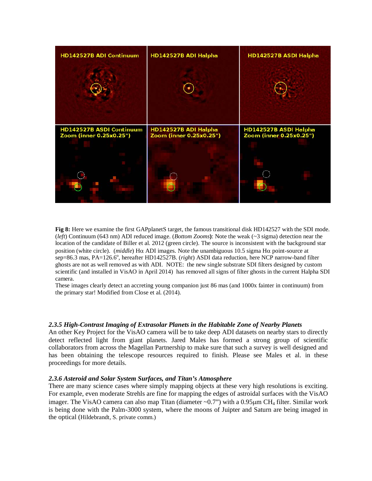

**Fig 8:** Here we examine the first GAPplanetS target, the famous transitional disk HD142527 with the SDI mode. (*left*) Continuum (643 nm) ADI reduced image. (*Bottom Zooms***)**: Note the weak (~3 sigma) detection near the location of the candidate of Biller et al. 2012 (green circle). The source is inconsistent with the background star position (white circle). (*middle*) Hα ADI images. Note the unambiguous 10.5 sigma Hα point-source at sep=86.3 mas, PA=126.6°, hereafter HD142527B. (*right*) ASDI data reduction, here NCP narrow-band filter ghosts are not as well removed as with ADI. NOTE: the new single substrate SDI filters designed by custom scientific (and installed in VisAO in April 2014) has removed all signs of filter ghosts in the current Halpha SDI camera.

These images clearly detect an accreting young companion just 86 mas (and 1000x fainter in continuum) from the primary star! Modified from Close et al. (2014).

#### *2.3.5 High-Contrast Imaging of Extrasolar Planets in the Habitable Zone of Nearby Planets*

An other Key Project for the VisAO camera will be to take deep ADI datasets on nearby stars to directly detect reflected light from giant planets. Jared Males has formed a strong group of scientific collaborators from across the Magellan Partnership to make sure that such a survey is well designed and has been obtaining the telescope resources required to finish. Please see Males et al. in these proceedings for more details.

#### *2.3.6 Asteroid and Solar System Surfaces, and Titan's Atmosphere*

There are many science cases where simply mapping objects at these very high resolutions is exciting. For example, even moderate Strehls are fine for mapping the edges of astroidal surfaces with the VisAO imager. The VisAO camera can also map Titan (diameter  $\sim 0.7$ ") with a 0.95 $\mu$ m CH<sub>4</sub> filter. Similar work is being done with the Palm-3000 system, where the moons of Juipter and Saturn are being imaged in the optical (Hildebrandt, S. private comm.)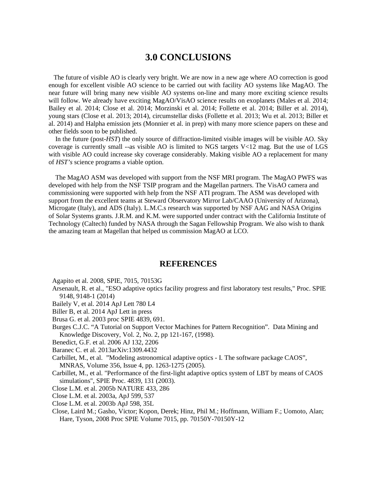# **3.0 CONCLUSIONS**

 The future of visible AO is clearly very bright. We are now in a new age where AO correction is good enough for excellent visible AO science to be carried out with facility AO systems like MagAO. The near future will bring many new visible AO systems on-line and many more exciting science results will follow. We already have exciting MagAO/VisAO science results on exoplanets (Males et al. 2014; Bailey et al. 2014; Close et al. 2014; Morzinski et al. 2014; Follette et al. 2014; Biller et al. 2014), young stars (Close et al. 2013; 2014), circumstellar disks (Follette et al. 2013; Wu et al. 2013; Biller et al. 2014) and Halpha emission jets (Monnier et al. in prep) with many more science papers on these and other fields soon to be published.

 In the future (post-*HST*) the only source of diffraction-limited visible images will be visible AO. Sky coverage is currently small --as visible AO is limited to NGS targets V<12 mag. But the use of LGS with visible AO could increase sky coverage considerably. Making visible AO a replacement for many of *HST's* science programs a viable option.

 The MagAO ASM was developed with support from the NSF MRI program. The MagAO PWFS was developed with help from the NSF TSIP program and the Magellan partners. The VisAO camera and commissioning were supported with help from the NSF ATI program. The ASM was developed with support from the excellent teams at Steward Observatory Mirror Lab/CAAO (University of Arizona), Microgate (Italy), and ADS (Italy). L.M.C.s research was supported by NSF AAG and NASA Origins of Solar Systems grants. J.R.M. and K.M. were supported under contract with the California Institute of Technology (Caltech) funded by NASA through the Sagan Fellowship Program. We also wish to thank the amazing team at Magellan that helped us commission MagAO at LCO.

## **REFERENCES**

Agapito et al. 2008, SPIE, 7015, 70153G

- Arsenault, R. et al., "ESO adaptive optics facility progress and first laboratory test results," Proc. SPIE 9148, 9148-1 (2014)
- Bailely V, et al. 2014 ApJ Lett 780 L4
- Biller B, et al. 2014 ApJ Lett in press
- Brusa G. et al. 2003 proc SPIE 4839, 691.
- Burges C.J.C. "A Tutorial on Support Vector Machines for Pattern Recognition". Data Mining and Knowledge Discovery, Vol. 2, No. 2, pp 121-167, (1998).
- Benedict, G.F. et al. 2006 AJ 132, 2206
- Baranec C. et al. 2013arXiv:1309.4432
- Carbillet, M., et al. "Modeling astronomical adaptive optics I. The software package CAOS", MNRAS, Volume 356, Issue 4, pp. 1263-1275 (2005).
- Carbillet, M., et al. "Performance of the first-light adaptive optics system of LBT by means of CAOS simulations", SPIE Proc. 4839, 131 (2003).
- Close L.M. et al. 2005b NATURE 433, 286
- Close L.M. et al. 2003a, ApJ 599, 537
- Close L.M. et al. 2003b ApJ 598, 35L
- Close, Laird M.; Gasho, Victor; Kopon, Derek; Hinz, Phil M.; Hoffmann, William F.; Uomoto, Alan; Hare, Tyson, 2008 Proc SPIE Volume 7015, pp. 70150Y-70150Y-12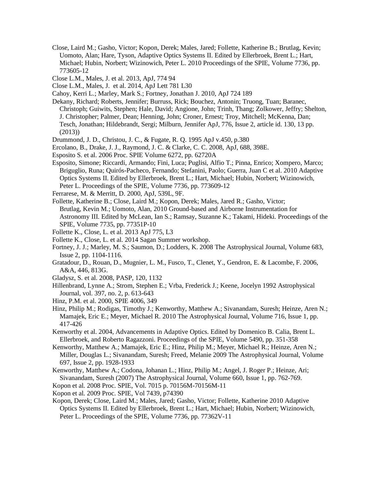- Close, Laird M.; Gasho, Victor; Kopon, Derek; Males, Jared; Follette, Katherine B.; Brutlag, Kevin; Uomoto, Alan; Hare, Tyson, Adaptive Optics Systems II. Edited by Ellerbroek, Brent L.; Hart, Michael; Hubin, Norbert; Wizinowich, Peter L. 2010 Proceedings of the SPIE, Volume 7736, pp. 773605-12
- Close L.M., Males, J. et al. 2013, ApJ, 774 94
- Close L.M., Males, J. et al. 2014, ApJ Lett 781 L30
- Cahoy, Kerri L.; Marley, Mark S.; Fortney, Jonathan J. 2010, ApJ 724 189
- Dekany, Richard; Roberts, Jennifer; Burruss, Rick; Bouchez, Antonin; Truong, Tuan; Baranec, Christoph; Guiwits, Stephen; Hale, David; Angione, John; Trinh, Thang; Zolkower, Jeffry; Shelton, J. Christopher; Palmer, Dean; Henning, John; Croner, Ernest; Troy, Mitchell; McKenna, Dan; Tesch, Jonathan; Hildebrandt, Sergi; Milburn, Jennifer ApJ, 776, Issue 2, article id. 130, 13 pp. (2013))
- Drummond, J. D., Christou, J. C., & Fugate, R. Q. 1995 ApJ v.450, p.380
- Ercolano, B., Drake, J. J., Raymond, J. C. & Clarke, C. C. 2008, ApJ, 688, 398E.
- Esposito S. et al. 2006 Proc. SPIE Volume 6272, pp. 62720A
- Esposito, Simone; Riccardi, Armando; Fini, Luca; Puglisi, Alfio T.; Pinna, Enrico; Xompero, Marco; Briguglio, Runa; Quirós-Pacheco, Fernando; Stefanini, Paolo; Guerra, Juan C et al. 2010 Adaptive Optics Systems II. Edited by Ellerbroek, Brent L.; Hart, Michael; Hubin, Norbert; Wizinowich, Peter L. Proceedings of the SPIE, Volume 7736, pp. 773609-12
- Ferrarese, M. & Merritt, D. 2000, ApJ, 539L, 9F.
- Follette, Katherine B.; Close, Laird M.; Kopon, Derek; Males, Jared R.; Gasho, Victor; Brutlag, Kevin M.; Uomoto, Alan, 2010 Ground-based and Airborne Instrumentation for Astronomy III. Edited by McLean, Ian S.; Ramsay, Suzanne K.; Takami, Hideki. Proceedings of the SPIE, Volume 7735, pp. 77351P-10
- Follette K., Close, L. et al. 2013 ApJ 775, L3
- Follette K., Close, L. et al. 2014 Sagan Summer workshop.
- Fortney, J. J.; Marley, M. S.; Saumon, D.; Lodders, K. 2008 The Astrophysical Journal, Volume 683, Issue 2, pp. 1104-1116.
- Gratadour, D., Rouan, D., Mugnier, L. M., Fusco, T., Clenet, Y., Gendron, E. & Lacombe, F. 2006, A&A, 446, 813G.
- Gladysz, S. et al. 2008, PASP, 120, 1132
- Hillenbrand, Lynne A.; Strom, Stephen E.; Vrba, Frederick J.; Keene, Jocelyn 1992 Astrophysical Journal, vol. 397, no. 2, p. 613-643
- Hinz, P.M. et al. 2000, SPIE 4006, 349
- Hinz, Philip M.; Rodigas, Timothy J.; Kenworthy, Matthew A.; Sivanandam, Suresh; Heinze, Aren N.; Mamajek, Eric E.; Meyer, Michael R. 2010 The Astrophysical Journal, Volume 716, Issue 1, pp. 417-426
- Kenworthy et al. 2004, Advancements in Adaptive Optics. Edited by Domenico B. Calia, Brent L. Ellerbroek, and Roberto Ragazzoni. Proceedings of the SPIE, Volume 5490, pp. 351-358
- Kenworthy, Matthew A.; Mamajek, Eric E.; Hinz, Philip M.; Meyer, Michael R.; Heinze, Aren N.; Miller, Douglas L.; Sivanandam, Suresh; Freed, Melanie 2009 The Astrophysical Journal, Volume 697, Issue 2, pp. 1928-1933
- Kenworthy, Matthew A.; Codona, Johanan L.; Hinz, Philip M.; Angel, J. Roger P.; Heinze, Ari; Sivanandam, Suresh (2007) The Astrophysical Journal, Volume 660, Issue 1, pp. 762-769.

Kopon et al. 2008 Proc. SPIE, Vol. 7015 p. 70156M-70156M-11

Kopon et al. 2009 Proc. SPIE, Vol 7439, p74390

Kopon, Derek; Close, Laird M.; Males, Jared; Gasho, Victor; Follette, Katherine 2010 Adaptive Optics Systems II. Edited by Ellerbroek, Brent L.; Hart, Michael; Hubin, Norbert; Wizinowich, Peter L. Proceedings of the SPIE, Volume 7736, pp. 77362V-11